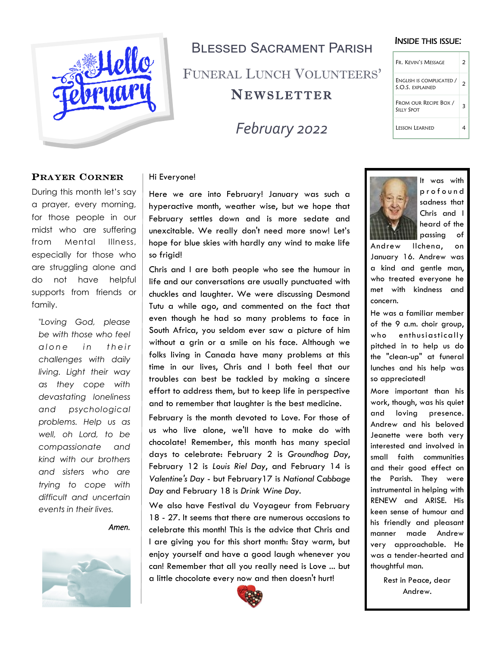

## Blessed Sacrament Parish FUNERAL LUNCH VOLUNTEERS' **NEWSLETTER**

*February 2022*

#### INSIDE THIS ISSUE:

| Fr. Kevin's Message                                 | 2 |
|-----------------------------------------------------|---|
| ENGLISH IS COMPLICATED /<br><b>S.O.S. EXPLAINED</b> |   |
| FROM OUR RECIPE BOX /<br><b>SILLY SPOT</b>          |   |
| I fsson I farned                                    |   |

#### PRAYER CORNER

During this month let's say a prayer, every morning, for those people in our midst who are suffering from Mental Illness, especially for those who are struggling alone and do not have helpful supports from friends or family.

*"Loving God, please be with those who feel alone* in their *challenges with daily living. Light their way as they cope with devastating loneliness and psychological problems. Help us as well, oh Lord, to be compassionate and kind with our brothers and sisters who are trying to cope with difficult and uncertain events in their lives.*

*Amen.* 



#### Hi Everyone!

Here we are into February! January was such a hyperactive month, weather wise, but we hope that February settles down and is more sedate and unexcitable. We really don't need more snow! Let's hope for blue skies with hardly any wind to make life so frigid!

Chris and I are both people who see the humour in life and our conversations are usually punctuated with chuckles and laughter. We were discussing Desmond Tutu a while ago, and commented on the fact that even though he had so many problems to face in South Africa, you seldom ever saw a picture of him without a grin or a smile on his face. Although we folks living in Canada have many problems at this time in our lives, Chris and I both feel that our troubles can best be tackled by making a sincere effort to address them, but to keep life in perspective and to remember that laughter is the best medicine.

February is the month devoted to Love. For those of us who live alone, we'll have to make do with chocolate! Remember, this month has many special days to celebrate: February 2 is *Groundhog Day*, February 12 is *Louis Riel Day*, and February 14 is *Valentine's Day* - but February17 is *National Cabbage Day* and February 18 is *Drink Wine Day*.

We also have Festival du Voyageur from February 18 - 27. It seems that there are numerous occasions to celebrate this month! This is the advice that Chris and I are giving you for this short month: Stay warm, but enjoy yourself and have a good laugh whenever you can! Remember that all you really need is Love ... but a little chocolate every now and then doesn't hurt!





It was with p r o f o u n d sadness that Chris and I heard of the passing of

Andrew Ilchena, on January 16. Andrew was a kind and gentle man, who treated everyone he met with kindness and concern.

He was a familiar member of the 9 a.m. choir group, who enthusiastically pitched in to help us do the "clean-up" at funeral lunches and his help was so appreciated!

More important than his work, though, was his quiet and loving presence. Andrew and his beloved Jeanette were both very interested and involved in small faith communities and their good effect on the Parish. They were instrumental in helping with RENEW and ARISE. His keen sense of humour and his friendly and pleasant manner made Andrew very approachable. He was a tender-hearted and thoughtful man.

> Rest in Peace, dear Andrew.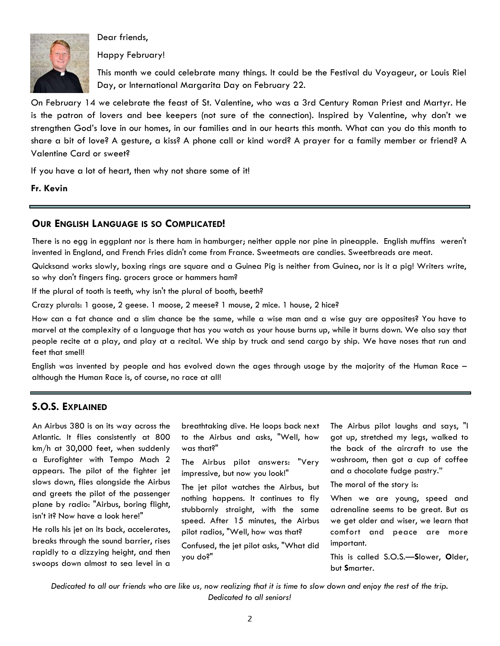

Dear friends,

Happy February!

This month we could celebrate many things. It could be the Festival du Voyageur, or Louis Riel Day, or International Margarita Day on February 22.

On February 14 we celebrate the feast of St. Valentine, who was a 3rd Century Roman Priest and Martyr. He is the patron of lovers and bee keepers (not sure of the connection). Inspired by Valentine, why don't we strengthen God's love in our homes, in our families and in our hearts this month. What can you do this month to share a bit of love? A gesture, a kiss? A phone call or kind word? A prayer for a family member or friend? A Valentine Card or sweet?

If you have a lot of heart, then why not share some of it!

**Fr. Kevin**

#### **OUR ENGLISH LANGUAGE IS SO COMPLICATED!**

There is no egg in eggplant nor is there ham in hamburger; neither apple nor pine in pineapple. English muffins weren't invented in England, and French Fries didn't come from France. Sweetmeats are candies. Sweetbreads are meat.

Quicksand works slowly, boxing rings are square and a Guinea Pig is neither from Guinea, nor is it a pig! Writers write, so why don't fingers fing. grocers groce or hammers ham?

If the plural of tooth is teeth, why isn't the plural of booth, beeth?

Crazy plurals: 1 goose, 2 geese. 1 moose, 2 meese? 1 mouse, 2 mice. 1 house, 2 hice?

How can a fat chance and a slim chance be the same, while a wise man and a wise guy are opposites? You have to marvel at the complexity of a language that has you watch as your house burns up, while it burns down. We also say that people recite at a play, and play at a recital. We ship by truck and send cargo by ship. We have noses that run and feet that smell!

English was invented by people and has evolved down the ages through usage by the majority of the Human Race – although the Human Race is, of course, no race at all!

#### **S.O.S. EXPLAINED**

An Airbus 380 is on its way across the Atlantic. It flies consistently at 800 km/h at 30,000 feet, when suddenly a Eurofighter with Tempo Mach 2 appears. The pilot of the fighter jet slows down, flies alongside the Airbus and greets the pilot of the passenger plane by radio: "Airbus, boring flight, isn't it? Now have a look here!"

He rolls his jet on its back, accelerates, breaks through the sound barrier, rises rapidly to a dizzying height, and then swoops down almost to sea level in a

breathtaking dive. He loops back next to the Airbus and asks, "Well, how was that?"

The Airbus pilot answers: "Very impressive, but now you look!"

The jet pilot watches the Airbus, but nothing happens. It continues to fly stubbornly straight, with the same speed. After 15 minutes, the Airbus pilot radios, "Well, how was that?

Confused, the jet pilot asks, "What did you do?"

The Airbus pilot laughs and says, "I got up, stretched my legs, walked to the back of the aircraft to use the washroom, then got a cup of coffee and a chocolate fudge pastry."

The moral of the story is:

When we are young, speed and adrenaline seems to be great. But as we get older and wiser, we learn that comfort and peace are more important.

This is called S.O.S.—**S**lower, **O**lder, but **S**marter.

*Dedicated to all our friends who are like us, now realizing that it is time to slow down and enjoy the rest of the trip. Dedicated to all seniors!*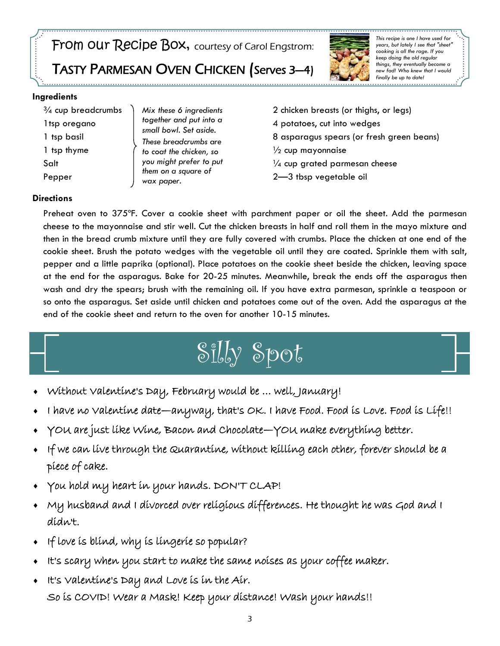FrOM OUT ReCipe BOX, courtesy of Carol Engstrom:

TASTY PARMESAN OVEN CHICKEN (Serves 3—4)



*This recipe is one I have used for years, but lately I see that "sheet" cooking is all the rage. If you keep doing the old regular things, they eventually become a new fad! Who knew that I would finally be up to date!*

#### **Ingredients**

¾ cup breadcrumbs 1tsp oregano 1 tsp basil 1 tsp thyme Salt Pepper

*Mix these 6 ingredients together and put into a small bowl. Set aside. These breadcrumbs are to coat the chicken, so you might prefer to put them on a square of wax paper.*

2 chicken breasts (or thighs, or legs) 4 potatoes, cut into wedges 8 asparagus spears (or fresh green beans)  $\frac{1}{2}$  cup mayonnaise  $\frac{1}{4}$  cup grated parmesan cheese 2—3 tbsp vegetable oil

#### **Directions**

Preheat oven to 375ºF. Cover a cookie sheet with parchment paper or oil the sheet. Add the parmesan cheese to the mayonnaise and stir well. Cut the chicken breasts in half and roll them in the mayo mixture and then in the bread crumb mixture until they are fully covered with crumbs. Place the chicken at one end of the cookie sheet. Brush the potato wedges with the vegetable oil until they are coated. Sprinkle them with salt, pepper and a little paprika (optional). Place potatoes on the cookie sheet beside the chicken, leaving space at the end for the asparagus. Bake for 20-25 minutes. Meanwhile, break the ends off the asparagus then wash and dry the spears; brush with the remaining oil. If you have extra parmesan, sprinkle a teaspoon or so onto the asparagus. Set aside until chicken and potatoes come out of the oven. Add the asparagus at the end of the cookie sheet and return to the oven for another 10-15 minutes.

# Silly Spot

- Without Valentine's Day, February would be … well, January!
- I have no Valentine date—anyway, that's OK. I have Food. Food is Love. Food is Life!!
- YOU are just like Wine, Bacon and Chocolate—YOU make everything better.
- If we can live through the Quarantine, without killing each other, forever should be a piece of cake.
- You hold my heart in your hands. DON'T CLAP!
- My husband and I divorced over religious differences. He thought he was God and I didn't.
- If love is blind, why is lingerie so popular?
- It's scary when you start to make the same noises as your coffee maker.
- It's Valentine's Day and Love is in the Air. So is COVID! Wear a Mask! Keep your distance! Wash your hands!!